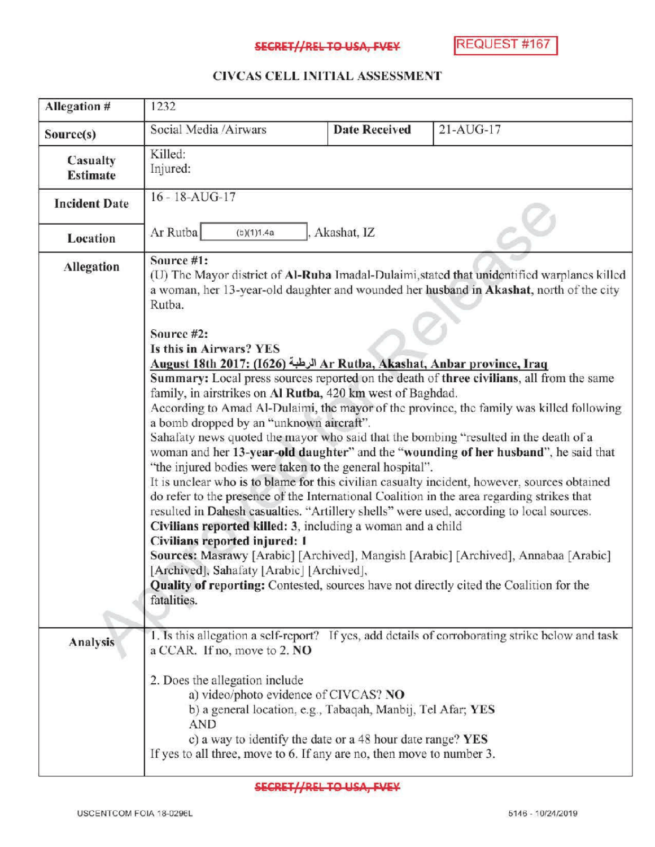## SECRET//REL TO USA, FVEY

## CIVCAS CELL INITIALASSESSMENT

| Allegation #                | 1232                                                                                                                                                                                                                                                                                                                                                                                                                                                                                                                                                                                                                                                                                                                                                                                                                                                                                                                                                                                                                                                                                                                                                                                                                                                                                                                                                                                                                                                                                                                                  |                      |                                                                                                 |
|-----------------------------|---------------------------------------------------------------------------------------------------------------------------------------------------------------------------------------------------------------------------------------------------------------------------------------------------------------------------------------------------------------------------------------------------------------------------------------------------------------------------------------------------------------------------------------------------------------------------------------------------------------------------------------------------------------------------------------------------------------------------------------------------------------------------------------------------------------------------------------------------------------------------------------------------------------------------------------------------------------------------------------------------------------------------------------------------------------------------------------------------------------------------------------------------------------------------------------------------------------------------------------------------------------------------------------------------------------------------------------------------------------------------------------------------------------------------------------------------------------------------------------------------------------------------------------|----------------------|-------------------------------------------------------------------------------------------------|
| Source(s)                   | Social Media /Airwars                                                                                                                                                                                                                                                                                                                                                                                                                                                                                                                                                                                                                                                                                                                                                                                                                                                                                                                                                                                                                                                                                                                                                                                                                                                                                                                                                                                                                                                                                                                 | <b>Date Received</b> | $21-AUG-17$                                                                                     |
| Casualty<br><b>Estimate</b> | Killed:<br>Injured:                                                                                                                                                                                                                                                                                                                                                                                                                                                                                                                                                                                                                                                                                                                                                                                                                                                                                                                                                                                                                                                                                                                                                                                                                                                                                                                                                                                                                                                                                                                   |                      |                                                                                                 |
| <b>Incident Date</b>        | $16 - 18 - \text{AUG} - 17$                                                                                                                                                                                                                                                                                                                                                                                                                                                                                                                                                                                                                                                                                                                                                                                                                                                                                                                                                                                                                                                                                                                                                                                                                                                                                                                                                                                                                                                                                                           |                      |                                                                                                 |
| Location                    | Ar Rutba<br>(b)(1)1.4a                                                                                                                                                                                                                                                                                                                                                                                                                                                                                                                                                                                                                                                                                                                                                                                                                                                                                                                                                                                                                                                                                                                                                                                                                                                                                                                                                                                                                                                                                                                | Akashat, IZ          |                                                                                                 |
| <b>Allegation</b>           | Source #1:<br>(U) The Mayor district of Al-Ruba Imadal-Dulaimi, stated that unidentified warplanes killed<br>a woman, her 13-year-old daughter and wounded her husband in Akashat, north of the city<br>Rutba.<br>Source #2:<br>Is this in Airwars? YES<br>Ar Rutba, Akashat, Anbar province, Iraq الرطبة Ar Rutba, Akashat, Anbar province, Iraq<br>Summary: Local press sources reported on the death of three civilians, all from the same<br>family, in airstrikes on Al Rutba, 420 km west of Baghdad.<br>According to Amad Al-Dulaimi, the mayor of the province, the family was killed following<br>a bomb dropped by an "unknown aircraft".<br>Sahafaty news quoted the mayor who said that the bombing "resulted in the death of a<br>woman and her 13-year-old daughter" and the "wounding of her husband", he said that<br>"the injured bodies were taken to the general hospital".<br>It is unclear who is to blame for this civilian casualty incident, however, sources obtained<br>do refer to the presence of the International Coalition in the area regarding strikes that<br>resulted in Dahesh casualties. "Artillery shells" were used, according to local sources.<br>Civilians reported killed: 3, including a woman and a child<br>Civilians reported injured: 1<br>Sources: Masrawy [Arabic] [Archived], Mangish [Arabic] [Archived], Annabaa [Arabic]<br>[Archived], Sahafaty [Arabic] [Archived],<br>Quality of reporting: Contested, sources have not directly cited the Coalition for the<br>fatalities. |                      |                                                                                                 |
| Analysis                    | a CCAR. If no, move to 2. NO                                                                                                                                                                                                                                                                                                                                                                                                                                                                                                                                                                                                                                                                                                                                                                                                                                                                                                                                                                                                                                                                                                                                                                                                                                                                                                                                                                                                                                                                                                          |                      | 1. Is this allegation a self-report? If yes, add details of corroborating strike below and task |
|                             | 2. Does the allegation include<br>a) video/photo evidence of CIVCAS? NO<br>b) a general location, e.g., Tabaqah, Manbij, Tel Afar; YES<br><b>AND</b><br>c) a way to identify the date or a 48 hour date range? YES<br>If yes to all three, move to 6. If any are no, then move to number 3.                                                                                                                                                                                                                                                                                                                                                                                                                                                                                                                                                                                                                                                                                                                                                                                                                                                                                                                                                                                                                                                                                                                                                                                                                                           |                      |                                                                                                 |

**SECRET//REL TO USA, FVEY**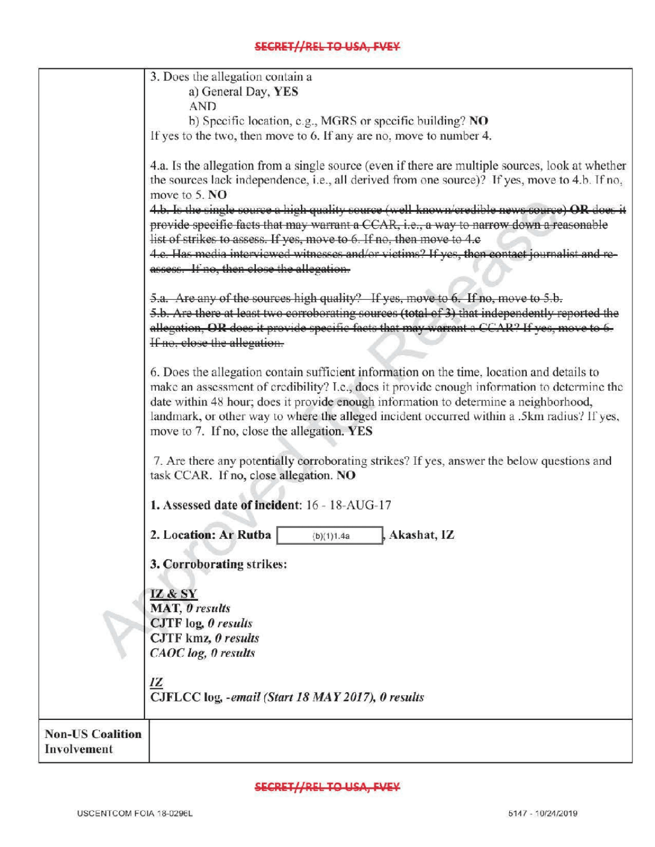|                                        | 3. Does the allegation contain a                                                                                                                                                                                                                                                                                                                                                                                                 |
|----------------------------------------|----------------------------------------------------------------------------------------------------------------------------------------------------------------------------------------------------------------------------------------------------------------------------------------------------------------------------------------------------------------------------------------------------------------------------------|
|                                        | a) General Day, YES                                                                                                                                                                                                                                                                                                                                                                                                              |
|                                        | <b>AND</b>                                                                                                                                                                                                                                                                                                                                                                                                                       |
|                                        | b) Specific location, e.g., MGRS or specific building? NO                                                                                                                                                                                                                                                                                                                                                                        |
|                                        | If yes to the two, then move to 6. If any are no, move to number 4.                                                                                                                                                                                                                                                                                                                                                              |
|                                        | 4.a. Is the allegation from a single source (even if there are multiple sources, look at whether<br>the sources lack independence, i.e., all derived from one source)? If yes, move to 4.b. If no,<br>move to 5. NO<br>4.b. Is the single source a high quality source (well known/credible news source) OR does it                                                                                                              |
|                                        | provide specific facts that may warrant a CCAR, i.e., a way to narrow down a reasonable                                                                                                                                                                                                                                                                                                                                          |
|                                        | list of strikes to assess. If yes, move to 6. If no, then move to 4.c<br>4.e. Has media interviewed witnesses and/or victims? If yes, then contact journalist and re-                                                                                                                                                                                                                                                            |
|                                        | assess. If no, then close the allegation.                                                                                                                                                                                                                                                                                                                                                                                        |
|                                        |                                                                                                                                                                                                                                                                                                                                                                                                                                  |
|                                        | 5.a. Are any of the sources high quality? If yes, move to 6. If no, move to 5.b.<br>5.b. Are there at least two corroborating sources (total of 3) that independently reported the<br>allegation, OR does it provide specific facts that may warrant a CCAR? If yes, move<br>If no, close the allegation.                                                                                                                        |
|                                        |                                                                                                                                                                                                                                                                                                                                                                                                                                  |
|                                        | 6. Does the allegation contain sufficient information on the time, location and details to<br>make an assessment of credibility? I.e., does it provide enough information to determine the<br>date within 48 hour; does it provide enough information to determine a neighborhood,<br>landmark, or other way to where the alleged incident occurred within a .5km radius? If yes,<br>move to 7. If no, close the allegation. YES |
|                                        |                                                                                                                                                                                                                                                                                                                                                                                                                                  |
|                                        | 7. Are there any potentially corroborating strikes? If yes, answer the below questions and<br>task CCAR. If no, close allegation. NO                                                                                                                                                                                                                                                                                             |
|                                        | 1. Assessed date of incident: 16 - 18-AUG-17                                                                                                                                                                                                                                                                                                                                                                                     |
|                                        | 2. Location: Ar Rutba<br>Akashat, IZ<br>(b)(1)1.4a                                                                                                                                                                                                                                                                                                                                                                               |
|                                        |                                                                                                                                                                                                                                                                                                                                                                                                                                  |
|                                        | 3. Corroborating strikes:                                                                                                                                                                                                                                                                                                                                                                                                        |
|                                        |                                                                                                                                                                                                                                                                                                                                                                                                                                  |
|                                        | IZ & SY<br>MAT, 0 results                                                                                                                                                                                                                                                                                                                                                                                                        |
|                                        | CJTF log, 0 results                                                                                                                                                                                                                                                                                                                                                                                                              |
|                                        | CJTF kmz, 0 results                                                                                                                                                                                                                                                                                                                                                                                                              |
|                                        | <b>CAOC</b> log, 0 results                                                                                                                                                                                                                                                                                                                                                                                                       |
|                                        |                                                                                                                                                                                                                                                                                                                                                                                                                                  |
|                                        | <u>IZ</u><br>CJFLCC log, -email (Start 18 MAY 2017), 0 results                                                                                                                                                                                                                                                                                                                                                                   |
|                                        |                                                                                                                                                                                                                                                                                                                                                                                                                                  |
| <b>Non-US Coalition</b><br>Involvement |                                                                                                                                                                                                                                                                                                                                                                                                                                  |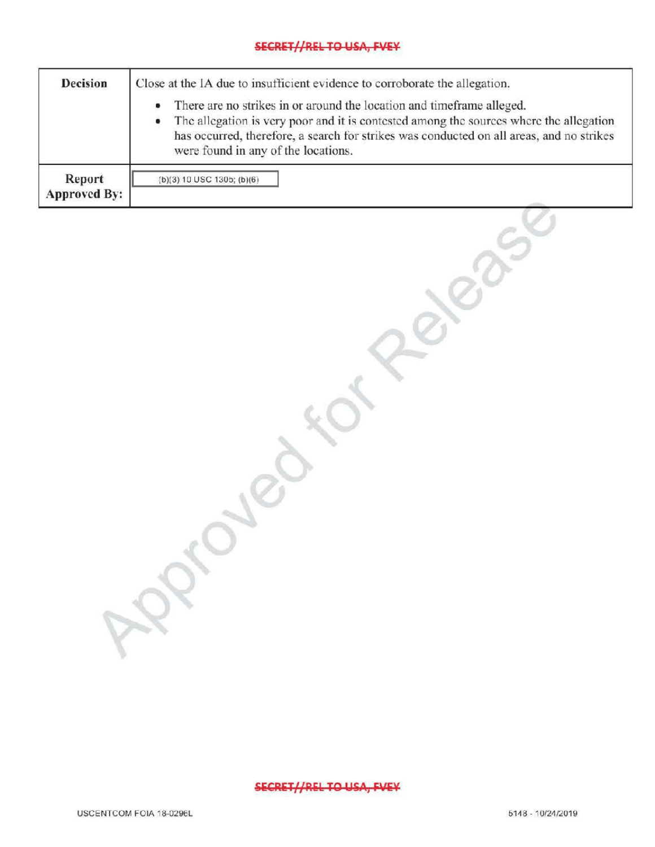## SECRET//REL TO USA, FVEY

| <b>Decision</b>               | Close at the IA due to insufficient evidence to corroborate the allegation.                                                                                                                                                                                                                        |  |  |
|-------------------------------|----------------------------------------------------------------------------------------------------------------------------------------------------------------------------------------------------------------------------------------------------------------------------------------------------|--|--|
|                               | There are no strikes in or around the location and timeframe alleged.<br>The allegation is very poor and it is contested among the sources where the allegation<br>has occurred, therefore, a search for strikes was conducted on all areas, and no strikes<br>were found in any of the locations. |  |  |
| Report<br><b>Approved By:</b> | $(b)(3) 10$ USC 130b; $(b)(6)$                                                                                                                                                                                                                                                                     |  |  |

SECRET//REL TO USA, FVEY

 $\mathcal{R}$ 

relationship